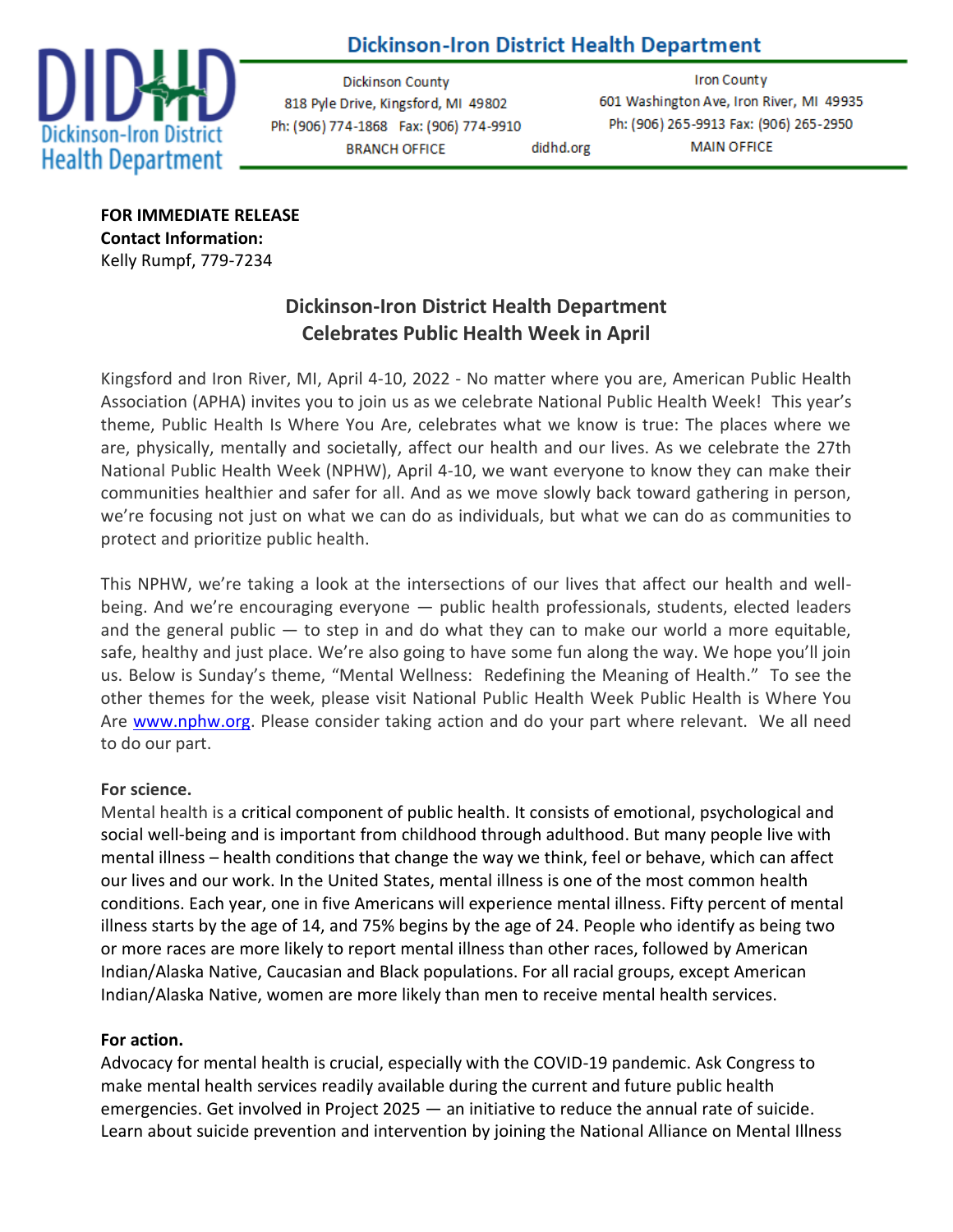# **Dickinson-Iron District Health Department**



Dickinson County 818 Pyle Drive, Kingsford, MI 49802 Ph: (906) 774-1868 Fax: (906) 774-9910 **BRANCH OFFICE** 

**Iron County** 601 Washington Ave, Iron River, MI 49935 Ph: (906) 265-9913 Fax: (906) 265-2950 **MAIN OFFICE** didhd.org

**FOR IMMEDIATE RELEASE Contact Information:** Kelly Rumpf, 779-7234

## **Dickinson-Iron District Health Department Celebrates Public Health Week in April**

Kingsford and Iron River, MI, April 4-10, 2022 - No matter where you are, American Public Health Association (APHA) invites you to join us as we celebrate National Public Health Week! This year's theme, Public Health Is Where You Are, celebrates what we know is true: The places where we are, physically, mentally and societally, affect our health and our lives. As we celebrate the 27th National Public Health Week (NPHW), April 4-10, we want everyone to know they can make their communities healthier and safer for all. And as we move slowly back toward gathering in person, we're focusing not just on what we can do as individuals, but what we can do as communities to protect and prioritize public health.

This NPHW, we're taking a look at the intersections of our lives that affect our health and wellbeing. And we're encouraging everyone — public health professionals, students, elected leaders and the general public  $-$  to step in and do what they can to make our world a more equitable, safe, healthy and just place. We're also going to have some fun along the way. We hope you'll join us. Below is Sunday's theme, "Mental Wellness: Redefining the Meaning of Health." To see the other themes for the week, please visit National Public Health Week Public Health is Where You Are [www.nphw.org.](http://www.nphw.org/) Please consider taking action and do your part where relevant. We all need to do our part.

### **For science.**

Mental health is a critical component of public health. It consists of emotional, psychological and social well-being and is [important from childhood through adulthood.](https://www.mentalhealth.gov/basics/what-is-mental-health) But many people [live with](https://www.psychiatry.org/patients-families/what-is-mental-illness)  [mental illness](https://www.psychiatry.org/patients-families/what-is-mental-illness) – health conditions that change the way we think, feel or behave, which can affect our lives and our work. In the United States, [mental illness is one of the most common](https://www.cdc.gov/mentalhealth/learn/index.htm) health conditions. Each year, one in five Americans will experience mental illness. Fifty percent of mental illness starts by the age of 14, [and 75% begins by the age of 24.](https://www.nami.org/learn-more/mental-health-conditions) People who identify as being two or more races are more likely to report mental illness than other races, followed by American Indian/Alaska Native, Caucasian and Black populations. For all racial groups, except American Indian/Alaska Native, [women are more likely than men](https://www.psychiatry.org/psychiatrists/cultural-competency/education/mental-health-facts) to receive mental health services.

## **For action.**

Advocacy for mental health is crucial, especially with the COVID-19 pandemic. Ask Congress to make mental health services [readily available during the current and future public health](https://www.apha.org/-/media/files/pdf/advocacy/letters/2020/200320_covid19_mh_sud.ashx)  [emergencies.](https://www.apha.org/-/media/files/pdf/advocacy/letters/2020/200320_covid19_mh_sud.ashx) Get involved in Project 2025 — an [initiative to reduce the annual rate of suicide.](https://project2025.afsp.org/) Learn about [suicide prevention and intervention](https://www.apha.org/-/media/files/pdf/topics/suicide_prevention.ashx) by joining the [National Alliance on Mental Illness](https://www.nami.org/About-NAMI/Join-NAMI)